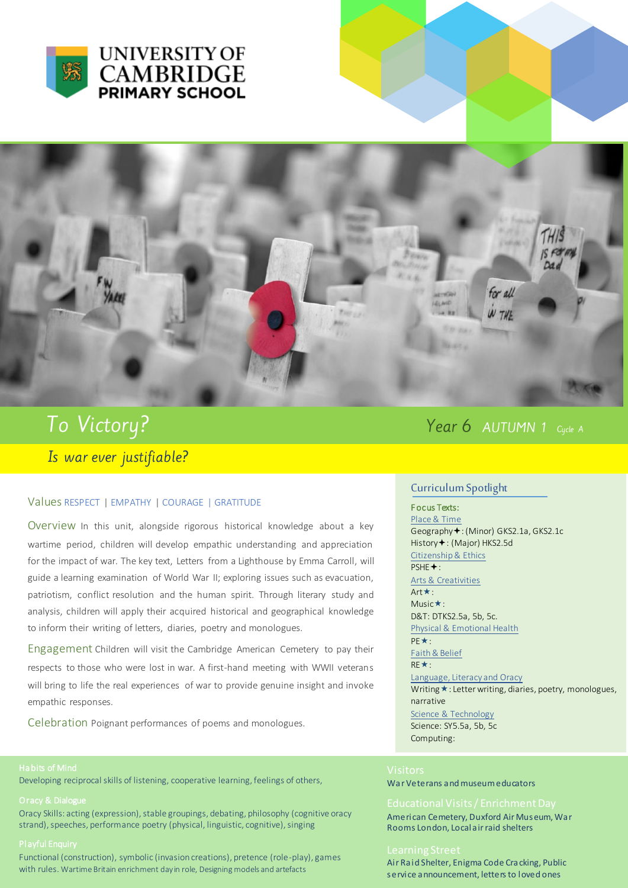



# To Victory? Is war ever justifiable?

#### Values RESPECT | EMPATHY | COURAGE | GRATITUDE

Overview In this unit, alongside rigorous historical knowledge about a key wartime period, children will develop empathic understanding and appreciation for the impact of war. The key text, Letters from a Lighthouse by Emma Carroll, will guide a learning examination of World War II; exploring issues such as evacuation, patriotism, conflict resolution and the human spirit. Through literary study and analysis, children will apply their acquired historical and geographical knowledge to inform their writing of letters, diaries, poetry and monologues.

Engagement Children will visit the Cambridge American Cemetery to pay their respects to those who were lost in war. A first-hand meeting with WWII veterans will bring to life the real experiences of war to provide genuine insight and invoke empathic responses.

Celebration Poignant performances of poems and monologues.

### Habits of Mind

Developing reciprocal skills of listening, cooperative learning, feelings of others,

#### Oracy & Dialogue

Oracy Skills: acting (expression), stable groupings, debating, philosophy (cognitive oracy strand), speeches, performance poetry (physical, linguistic, cognitive), singing

#### Playful Enquiry

Functional (construction), symbolic (invasion creations), pretence (role-play), games with rules. Wartime Britain enrichment day in role, Designing models and artefacts

## Year 6 AUTUMN 1 Cycle A

#### Curriculum Spotlight

### F ocus Texts:

Place & Time Geography +: (Minor) GKS2.1a, GKS2.1c History +: (Major) HKS2.5d Citizenship & Ethics PSHE<sup>+</sup>: Arts & Creativities

#### Art \*: Music\*:

D&T: DTKS2.5a, 5b, 5c. Physical & Emotional Health PE\*:

### Faith & Belief

 $RE*$ :

Language, Literacy and Oracy Writing  $\star$ : Letter writing, diaries, poetry, monologues, narrative Science & Technology Science: SY5.5a, 5b, 5c Computing:

War Veterans and museum educators

American Cemetery, Duxford Air Museum, War Rooms London, Local air raid shelters

Air Raid Shelter, Enigma Code Cracking, Public service announcement, letters to loved ones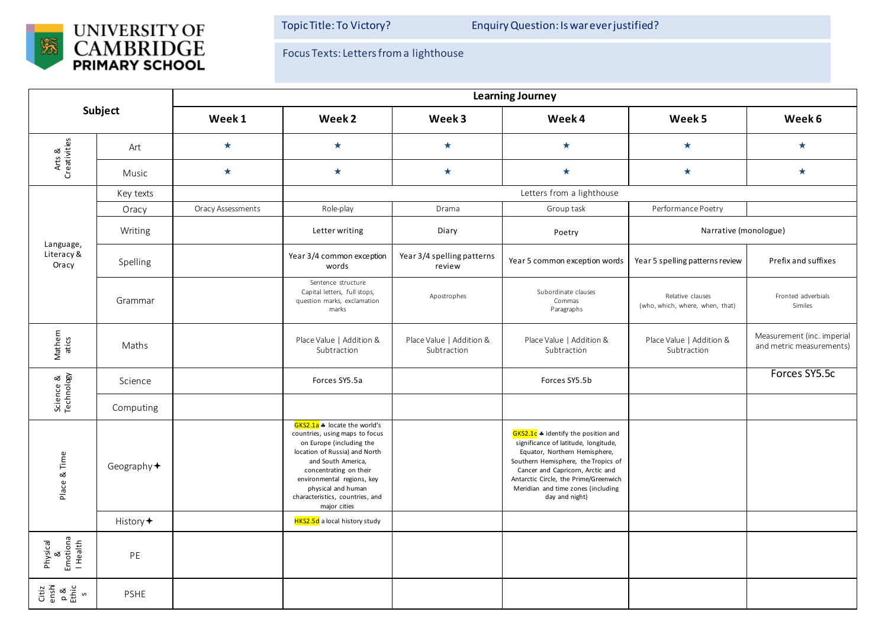

Topic Title: To Victory? Enquiry Question: Is war ever justified?

Focus Texts: Letters from a lighthouse

| Subject                               |                      | <b>Learning Journey</b>  |                                                                                                                                                                                                                                                                                    |                                         |                                                                                                                                                                                                                                                                                          |                                                     |                                                        |  |  |
|---------------------------------------|----------------------|--------------------------|------------------------------------------------------------------------------------------------------------------------------------------------------------------------------------------------------------------------------------------------------------------------------------|-----------------------------------------|------------------------------------------------------------------------------------------------------------------------------------------------------------------------------------------------------------------------------------------------------------------------------------------|-----------------------------------------------------|--------------------------------------------------------|--|--|
|                                       |                      | Week 1                   | Week <sub>2</sub>                                                                                                                                                                                                                                                                  | Week 3                                  | Week 4                                                                                                                                                                                                                                                                                   | Week 5                                              | Week 6                                                 |  |  |
| Arts &<br>Creativities                | Art                  | $\star$                  | $\star$                                                                                                                                                                                                                                                                            | $\star$                                 | $\star$                                                                                                                                                                                                                                                                                  | $\star$                                             | $\star$                                                |  |  |
|                                       | Music                | $\star$                  | $\star$                                                                                                                                                                                                                                                                            | $\star$                                 | $\star$                                                                                                                                                                                                                                                                                  | $\star$                                             | $\star$                                                |  |  |
| Language,<br>Literacy &<br>Oracy      | Key texts            |                          | Letters from a lighthouse                                                                                                                                                                                                                                                          |                                         |                                                                                                                                                                                                                                                                                          |                                                     |                                                        |  |  |
|                                       | Oracy                | <b>Oracy Assessments</b> | Role-play                                                                                                                                                                                                                                                                          | Drama                                   | Group task                                                                                                                                                                                                                                                                               | Performance Poetry                                  |                                                        |  |  |
|                                       | Writing              |                          | Letter writing                                                                                                                                                                                                                                                                     | Diary                                   | Poetry                                                                                                                                                                                                                                                                                   | Narrative (monologue)                               |                                                        |  |  |
|                                       | Spelling             |                          | Year 3/4 common exception<br>words                                                                                                                                                                                                                                                 | Year 3/4 spelling patterns<br>review    | Year 5 common exception words                                                                                                                                                                                                                                                            | Year 5 spelling patterns review                     | Prefix and suffixes                                    |  |  |
|                                       | Grammar              |                          | Sentence structure<br>Capital letters, full stops,<br>question marks, exclamation<br>marks                                                                                                                                                                                         | Apostrophes                             | Subordinate clauses<br>Commas<br>Paragraphs                                                                                                                                                                                                                                              | Relative clauses<br>(who, which, where, when, that) | Fronted adverbials<br>Similes                          |  |  |
| Mathem<br>atics                       | Maths                |                          | Place Value   Addition &<br>Subtraction                                                                                                                                                                                                                                            | Place Value   Addition &<br>Subtraction | Place Value   Addition &<br>Subtraction                                                                                                                                                                                                                                                  | Place Value   Addition &<br>Subtraction             | Measurement (inc. imperial<br>and metric measurements) |  |  |
| Science &<br>Technology               | Science              |                          | Forces SY5.5a                                                                                                                                                                                                                                                                      |                                         | Forces SY5.5b                                                                                                                                                                                                                                                                            |                                                     | Forces SY5.5c                                          |  |  |
|                                       | Computing            |                          |                                                                                                                                                                                                                                                                                    |                                         |                                                                                                                                                                                                                                                                                          |                                                     |                                                        |  |  |
| Place & Time                          | Geography $\bigstar$ |                          | GKS2.1a * locate the world's<br>countries, using maps to focus<br>on Europe (including the<br>location of Russia) and North<br>and South America,<br>concentrating on their<br>environmental regions, key<br>physical and human<br>characteristics, countries, and<br>major cities |                                         | GKS2.1c * identify the position and<br>significance of latitude, longitude,<br>Equator, Northern Hemisphere,<br>Southern Hemisphere, the Tropics of<br>Cancer and Capricorn, Arctic and<br>Antarctic Circle, the Prime/Greenwich<br>Meridian and time zones (including<br>day and night) |                                                     |                                                        |  |  |
|                                       | History $\bigstar$   |                          | <b>HKS2.5d</b> a local history study                                                                                                                                                                                                                                               |                                         |                                                                                                                                                                                                                                                                                          |                                                     |                                                        |  |  |
| Physical<br>&<br>Emotiona<br>  Health | PE                   |                          |                                                                                                                                                                                                                                                                                    |                                         |                                                                                                                                                                                                                                                                                          |                                                     |                                                        |  |  |
| Citiz<br>enshi<br>Ethic<br>s          | <b>PSHE</b>          |                          |                                                                                                                                                                                                                                                                                    |                                         |                                                                                                                                                                                                                                                                                          |                                                     |                                                        |  |  |